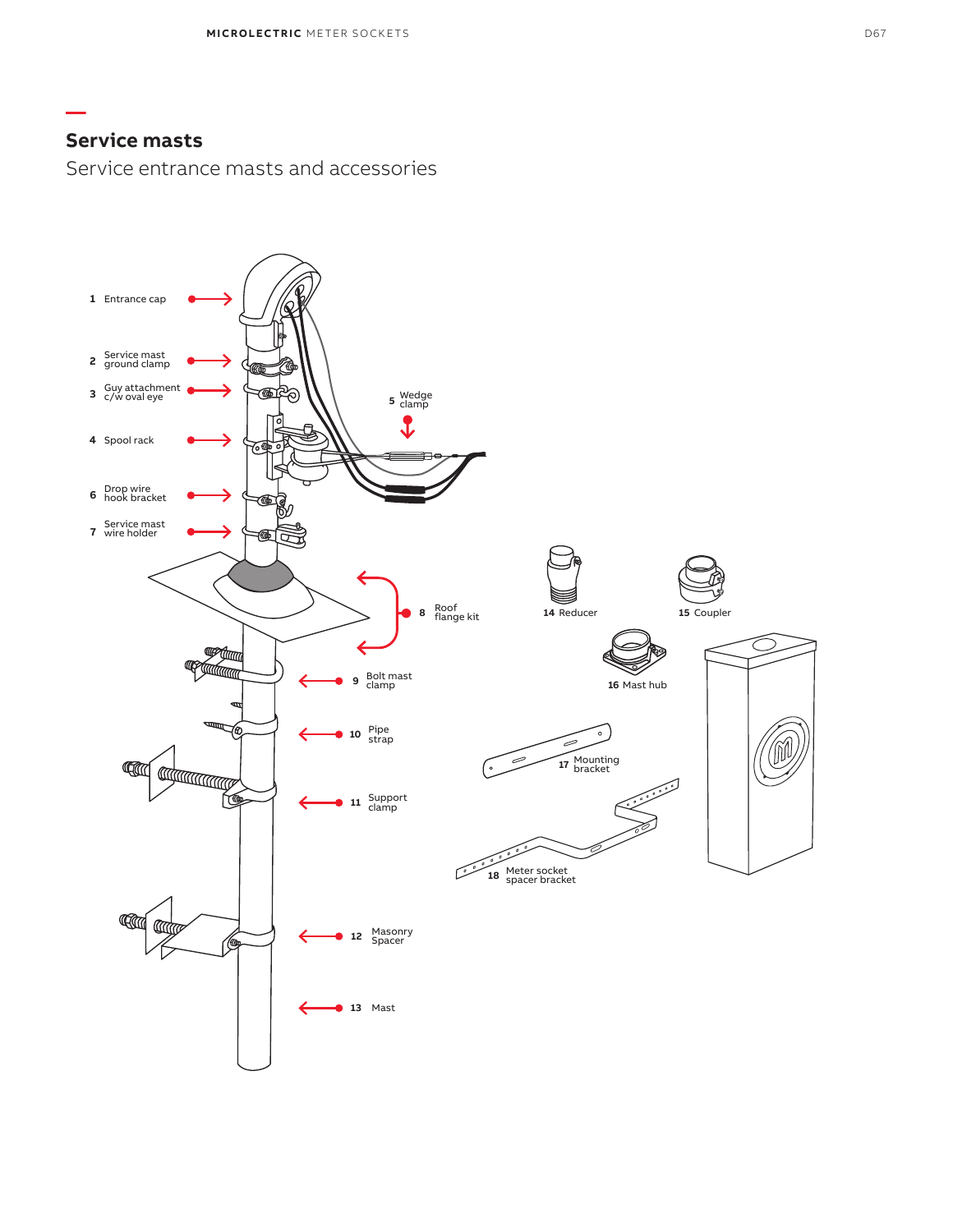**—**

Service entrance masts and accessories

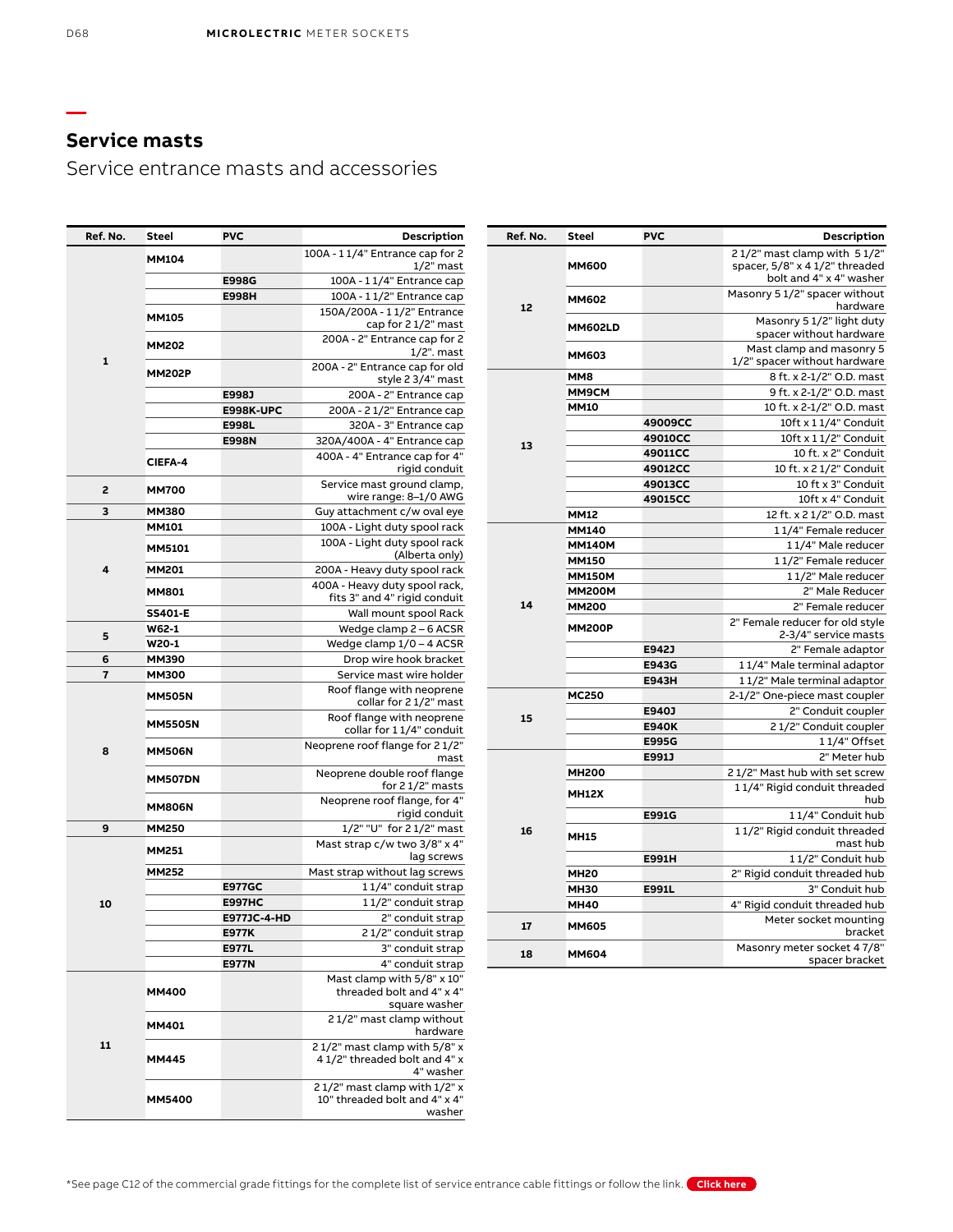**—**

# **Service masts**

Service entrance masts and accessories

| Ref. No. | Steel           | <b>PVC</b>            | Description                                                   |
|----------|-----------------|-----------------------|---------------------------------------------------------------|
|          |                 |                       | 21/2" mast clamp with 51/2"                                   |
|          | <b>MM600</b>    |                       | spacer, 5/8" x 4 1/2" threaded                                |
|          |                 |                       | bolt and 4" x 4" washer                                       |
|          | <b>MM602</b>    |                       | Masonry 5 1/2" spacer without                                 |
| 12       |                 |                       | hardware                                                      |
|          | <b>MM602LD</b>  |                       | Masonry 5 1/2" light duty<br>spacer without hardware          |
|          |                 |                       | Mast clamp and masonry 5                                      |
|          | <b>MM603</b>    |                       | 1/2" spacer without hardware                                  |
|          | MM <sub>8</sub> |                       | 8 ft. x 2-1/2" O.D. mast                                      |
|          | MM9CM           |                       | 9 ft. x 2-1/2" O.D. mast                                      |
|          | <b>MM10</b>     |                       | 10 ft. x 2-1/2" O.D. mast                                     |
|          |                 | 49009CC               | 10ft x 11/4" Conduit                                          |
|          |                 | 49010CC               | 10ft x 11/2" Conduit                                          |
| 13       |                 | 49011CC               | 10 ft. x 2" Conduit                                           |
|          |                 | 49012CC               | 10 ft. x 2 1/2" Conduit                                       |
|          |                 | 49013CC               | 10 ft x 3" Conduit                                            |
|          |                 | 49015CC               | 10ft x 4" Conduit                                             |
|          | <b>MM12</b>     |                       | 12 ft. x 2 1/2" O.D. mast                                     |
|          | <b>MM140</b>    |                       | 11/4" Female reducer                                          |
|          | <b>MM140M</b>   |                       | 11/4" Male reducer                                            |
|          | MM150           |                       | 11/2" Female reducer                                          |
|          | <b>MM150M</b>   |                       | 11/2" Male reducer                                            |
|          | <b>MM200M</b>   |                       | 2" Male Reducer                                               |
| 14       | <b>MM200</b>    |                       | 2" Female reducer                                             |
|          | <b>MM200P</b>   |                       | 2" Female reducer for old style                               |
|          |                 |                       | 2-3/4" service masts                                          |
|          |                 | E942J                 | 2" Female adaptor                                             |
|          |                 | E943G                 | 11/4" Male terminal adaptor                                   |
|          |                 | <b>E943H</b>          | 11/2" Male terminal adaptor                                   |
|          | <b>MC250</b>    |                       | 2-1/2" One-piece mast coupler                                 |
| 15       |                 | E940J                 | 2" Conduit coupler                                            |
|          |                 | <b>E940K</b>          | 21/2" Conduit coupler                                         |
|          |                 | <b>E995G</b><br>E991J | 11/4" Offset<br>2" Meter hub                                  |
|          |                 |                       |                                                               |
|          | <b>MH200</b>    |                       | 21/2" Mast hub with set screw<br>11/4" Rigid conduit threaded |
|          | <b>MH12X</b>    |                       | hub                                                           |
|          |                 | E991G                 | 11/4" Conduit hub                                             |
| 16       |                 |                       | 11/2" Rigid conduit threaded                                  |
|          | <b>MH15</b>     |                       | mast hub                                                      |
|          |                 | <b>E991H</b>          | 11/2" Conduit hub                                             |
|          | <b>MH20</b>     |                       | 2" Rigid conduit threaded hub                                 |
|          | <b>MH30</b>     | E991L                 | 3" Conduit hub                                                |
|          | <b>MH40</b>     |                       | 4" Rigid conduit threaded hub                                 |
| 17       | <b>MM605</b>    |                       | Meter socket mounting<br>bracket                              |
| 18       | <b>MM604</b>    |                       | Masonry meter socket 47/8"<br>spacer bracket                  |

| Ref. No.                | Steel          | <b>PVC</b>    | <b>Description</b>                                                        |
|-------------------------|----------------|---------------|---------------------------------------------------------------------------|
|                         | <b>MM104</b>   |               | 100A - 11/4" Entrance cap for 2<br>$1/2$ " mast                           |
|                         |                | <b>E998G</b>  | 100A - 11/4" Entrance cap                                                 |
|                         |                | <b>E998H</b>  | 100A - 11/2" Entrance cap                                                 |
|                         | <b>MM105</b>   |               | 150A/200A - 11/2" Entrance<br>cap for 2 1/2" mast                         |
|                         | <b>MM202</b>   |               | 200A - 2" Entrance cap for 2                                              |
| 1                       | <b>MM202P</b>  |               | $1/2$ ". mast<br>200A - 2" Entrance cap for old                           |
|                         |                |               | style 2 3/4" mast                                                         |
|                         |                | E998J         | 200A - 2" Entrance cap                                                    |
|                         |                | E998K-UPC     | 200A - 21/2" Entrance cap                                                 |
|                         |                | E998L         | 320A - 3" Entrance cap                                                    |
|                         |                | <b>E998N</b>  | 320A/400A - 4" Entrance cap                                               |
|                         | <b>CIEFA-4</b> |               | 400A - 4" Entrance cap for 4"<br>rigid conduit                            |
| 2                       | <b>MM700</b>   |               | Service mast ground clamp,<br>wire range: 8-1/0 AWG                       |
| 3                       | <b>MM380</b>   |               | Guy attachment c/w oval eye                                               |
|                         | <b>MM101</b>   |               | 100A - Light duty spool rack                                              |
|                         | <b>MM5101</b>  |               | 100A - Light duty spool rack<br>(Alberta only)                            |
| 4                       | <b>MM201</b>   |               | 200A - Heavy duty spool rack                                              |
|                         |                |               | 400A - Heavy duty spool rack,                                             |
|                         | <b>MM801</b>   |               | fits 3" and 4" rigid conduit                                              |
|                         | <b>SS401-E</b> |               | Wall mount spool Rack                                                     |
| 5                       | W62-1          |               | Wedge clamp 2 - 6 ACSR                                                    |
|                         | W20-1          |               | Wedge clamp 1/0 - 4 ACSR                                                  |
| 6                       | <b>MM390</b>   |               | Drop wire hook bracket                                                    |
| $\overline{\mathbf{r}}$ | <b>MM300</b>   |               | Service mast wire holder                                                  |
|                         | <b>MM505N</b>  |               | Roof flange with neoprene<br>collar for 21/2" mast                        |
|                         | <b>MM5505N</b> |               | Roof flange with neoprene<br>collar for 11/4" conduit                     |
| 8                       | <b>MM506N</b>  |               | Neoprene roof flange for 21/2"<br>mast                                    |
|                         | <b>MM507DN</b> |               | Neoprene double roof flange<br>for 2 1/2" masts                           |
|                         | <b>MM806N</b>  |               | Neoprene roof flange, for 4"<br>rigid conduit                             |
| 9                       | <b>MM250</b>   |               | 1/2" "U" for 2 1/2" mast                                                  |
|                         |                |               | Mast strap c/w two 3/8" x 4"                                              |
|                         | <b>MM251</b>   |               | lag screws                                                                |
|                         | <b>MM252</b>   |               | Mast strap without lag screws                                             |
|                         |                | <b>E977GC</b> | 11/4" conduit strap                                                       |
| 10                      |                | <b>E997HC</b> | 11/2" conduit strap                                                       |
|                         |                | E977JC-4-HD   | 2" conduit strap                                                          |
|                         |                | <b>E977K</b>  | 21/2" conduit strap                                                       |
|                         |                | <b>E977L</b>  | 3" conduit strap                                                          |
|                         |                | <b>E977N</b>  | 4" conduit strap                                                          |
|                         | <b>MM400</b>   |               | Mast clamp with 5/8" x 10"<br>threaded bolt and 4" x 4"                   |
|                         |                |               | square washer                                                             |
|                         | MM401          |               | 21/2" mast clamp without<br>hardware                                      |
| 11                      | <b>MM445</b>   |               | 21/2" mast clamp with 5/8" x<br>41/2" threaded bolt and 4" x<br>4" washer |
|                         | <b>MM5400</b>  |               | 21/2" mast clamp with 1/2" x<br>10" threaded bolt and 4" x 4"<br>washer   |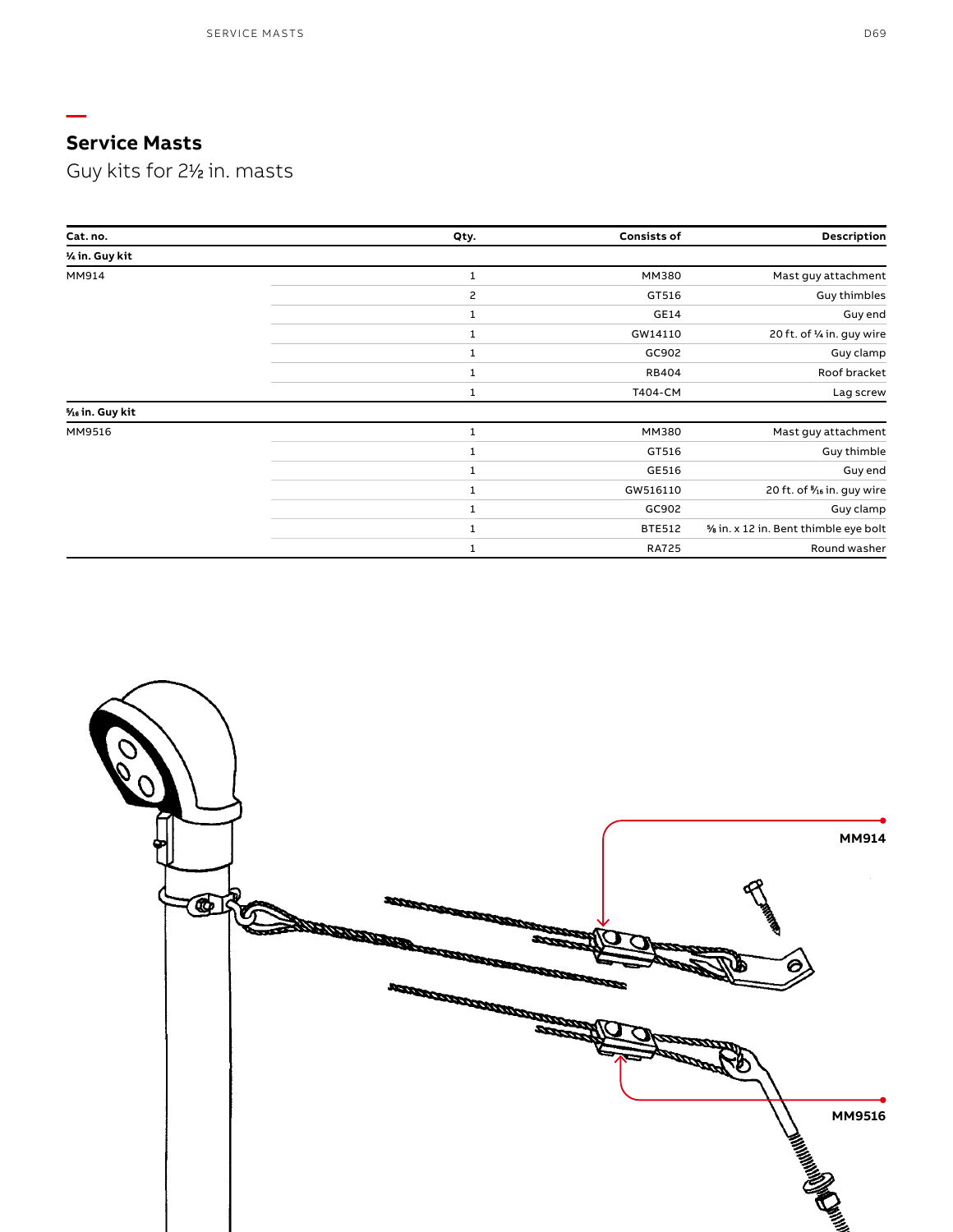**—**

Guy kits for 21 ⁄2 in. masts

| Cat. no.        | Qty. | <b>Consists of</b> | Description                          |
|-----------------|------|--------------------|--------------------------------------|
| 1/4 in. Guy kit |      |                    |                                      |
| MM914           |      | MM380              | Mast guy attachment                  |
|                 | 2    | GT516              | <b>Guy thimbles</b>                  |
|                 | 1    | GE14               | Guy end                              |
|                 | 1    | GW14110            | 20 ft. of 1/4 in. guy wire           |
|                 | 1    | GC902              | Guy clamp                            |
|                 | 1    | <b>RB404</b>       | Roof bracket                         |
|                 | 1    | T404-CM            | Lag screw                            |
| % in. Guy kit   |      |                    |                                      |
| MM9516          | 1    | MM380              | Mast guy attachment                  |
|                 |      | GT516              | Guy thimble                          |
|                 |      | GE516              | Guy end                              |
|                 |      | GW516110           | 20 ft. of 16 in. guy wire            |
|                 | 1    | GC902              | Guy clamp                            |
|                 | 1    | <b>BTE512</b>      | % in. x 12 in. Bent thimble eye bolt |
|                 | 1    | <b>RA725</b>       | Round washer                         |

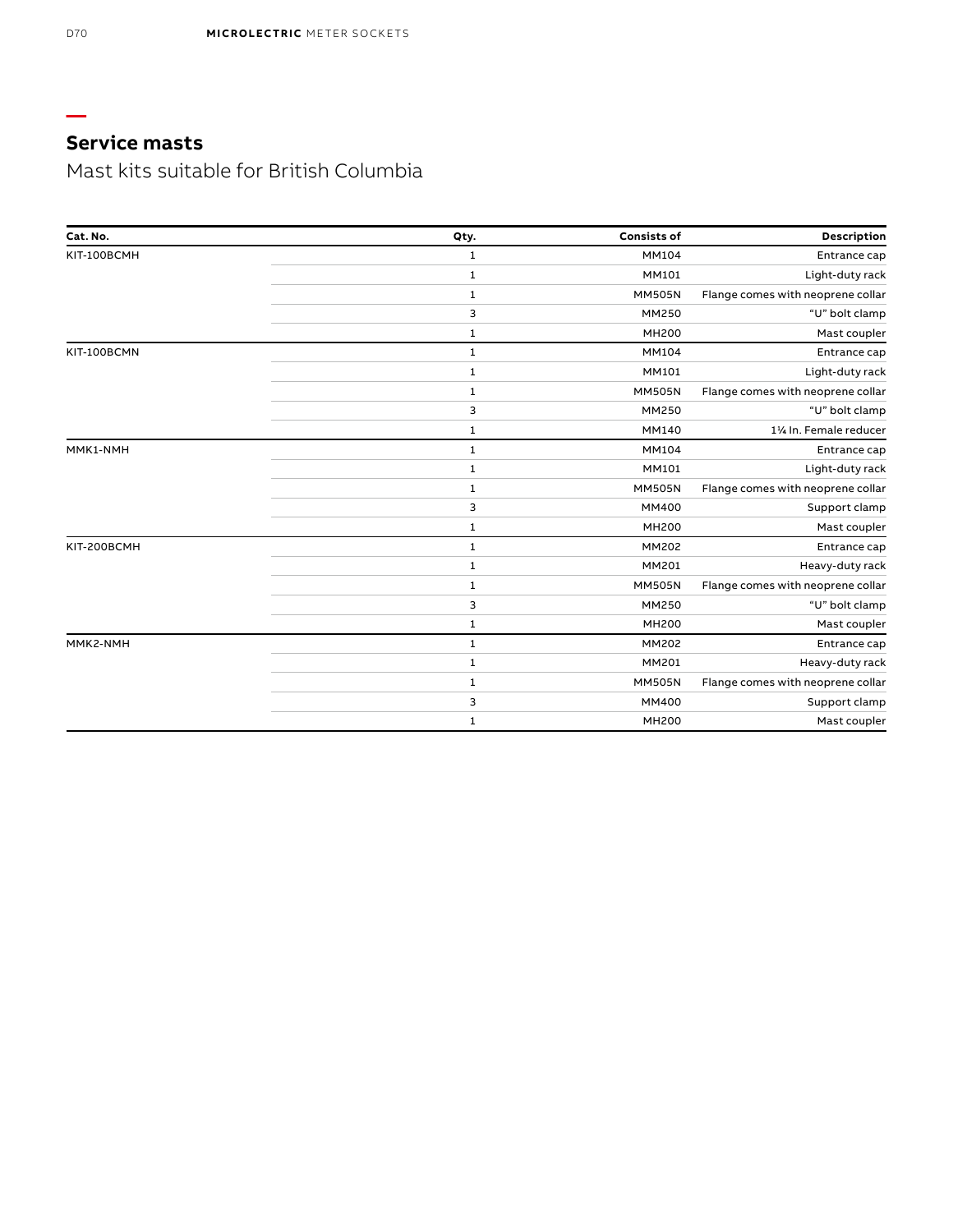Mast kits suitable for British Columbia

| Cat. No.    | Qty.         | <b>Consists of</b> | Description                       |
|-------------|--------------|--------------------|-----------------------------------|
| KIT-100BCMH | $\mathbf{1}$ | <b>MM104</b>       | Entrance cap                      |
|             | $\mathbf{1}$ | MM101              | Light-duty rack                   |
|             | 1            | <b>MM505N</b>      | Flange comes with neoprene collar |
|             | 3            | MM250              | "U" bolt clamp                    |
|             | $\mathbf{1}$ | <b>MH200</b>       | Mast coupler                      |
| KIT-100BCMN | $\mathbf{1}$ | MM104              | Entrance cap                      |
|             | $\mathbf{1}$ | MM101              | Light-duty rack                   |
|             | 1            | <b>MM505N</b>      | Flange comes with neoprene collar |
|             | 3            | MM250              | "U" bolt clamp                    |
|             | 1            | MM140              | 11/4 In. Female reducer           |
| MMK1-NMH    | $\mathbf{1}$ | MM104              | Entrance cap                      |
|             | $\mathbf{1}$ | MM101              | Light-duty rack                   |
|             | $\mathbf 1$  | <b>MM505N</b>      | Flange comes with neoprene collar |
|             | 3            | MM400              | Support clamp                     |
|             | 1            | <b>MH200</b>       | Mast coupler                      |
| KIT-200BCMH | $\mathbf{1}$ | MM202              | Entrance cap                      |
|             | $\mathbf{1}$ | MM201              | Heavy-duty rack                   |
|             | 1            | <b>MM505N</b>      | Flange comes with neoprene collar |
|             | 3            | MM250              | "U" bolt clamp                    |
|             | 1            | <b>MH200</b>       | Mast coupler                      |
| MMK2-NMH    | $\mathbf{1}$ | MM202              | Entrance cap                      |
|             | 1            | MM201              | Heavy-duty rack                   |
|             | $\mathbf{1}$ | <b>MM505N</b>      | Flange comes with neoprene collar |
|             | 3            | MM400              | Support clamp                     |
|             | 1            | <b>MH200</b>       | Mast coupler                      |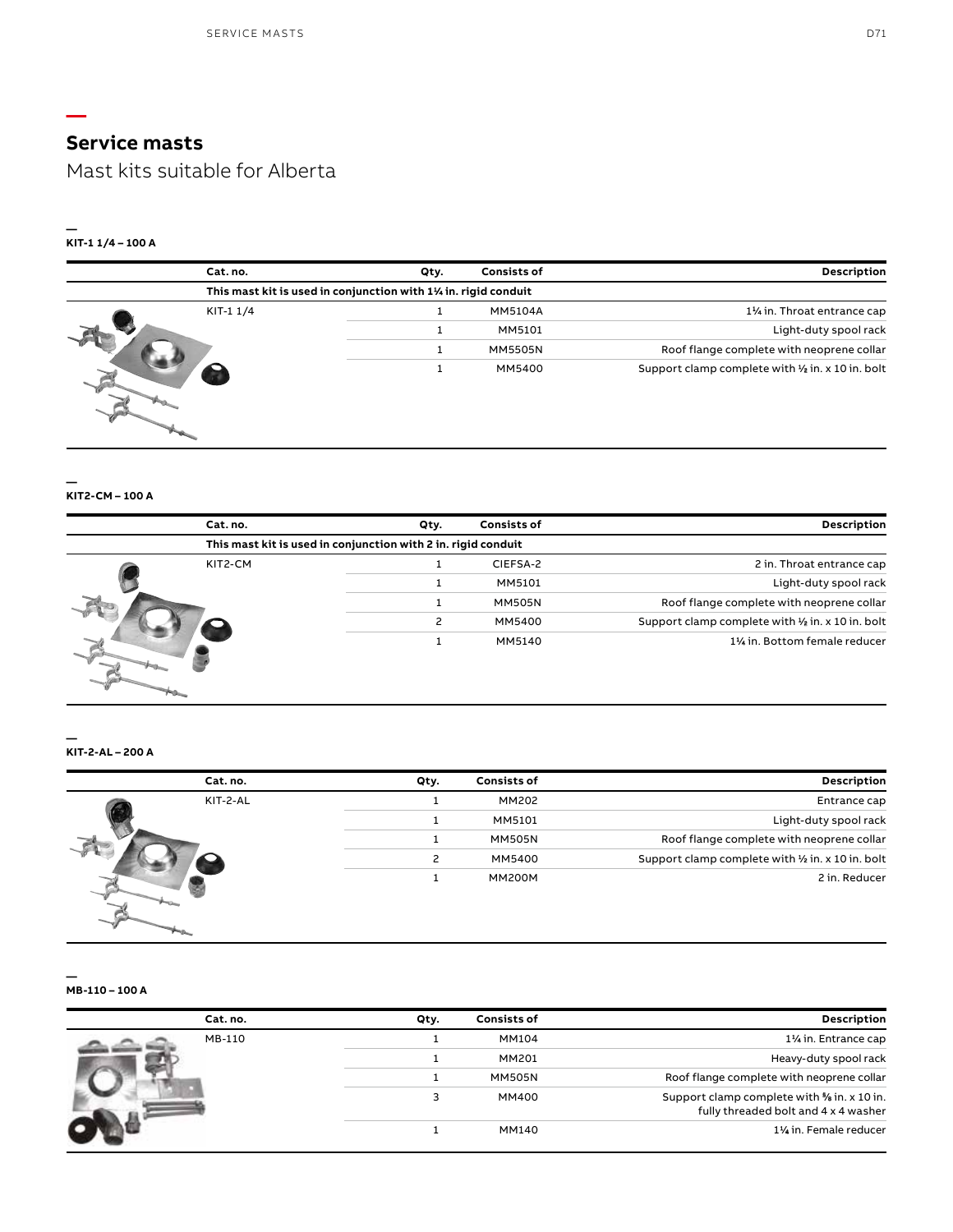Mast kits suitable for Alberta

سياسي Ч

rha.

 $\begin{picture}(20,20)(-20,0) \put(0,0){\vector(1,0){10}} \put(15,0){\vector(1,0){10}} \put(15,0){\vector(1,0){10}} \put(15,0){\vector(1,0){10}} \put(15,0){\vector(1,0){10}} \put(15,0){\vector(1,0){10}} \put(15,0){\vector(1,0){10}} \put(15,0){\vector(1,0){10}} \put(15,0){\vector(1,0){10}} \put(15,0){\vector(1,0){10}} \put(15,0){\vector(1,0){10}} \put(15,$ 

### **— KIT-1 1/4 – 100 A**

**—**

| Description                                       | <b>Consists of</b> | Qty. | Cat. no.                                                       |
|---------------------------------------------------|--------------------|------|----------------------------------------------------------------|
|                                                   |                    |      | This mast kit is used in conjunction with 1% in. rigid conduit |
| 11/ <sub>4</sub> in. Throat entrance cap          | <b>MM5104A</b>     |      | KIT-11/4                                                       |
| Light-duty spool rack                             | MM5101             |      |                                                                |
| Roof flange complete with neoprene collar         | <b>MM5505N</b>     |      |                                                                |
| Support clamp complete with 1/2 in. x 10 in. bolt | MM5400             |      |                                                                |

### **— KIT2-CM – 100 A**

|  | Cat. no. | Qty.                                                          | <b>Consists of</b>    | Description                                       |
|--|----------|---------------------------------------------------------------|-----------------------|---------------------------------------------------|
|  |          | This mast kit is used in conjunction with 2 in. rigid conduit |                       |                                                   |
|  | KIT2-CM  |                                                               | CIEFSA-2              | 2 in. Throat entrance cap                         |
|  |          | MM5101                                                        | Light-duty spool rack |                                                   |
|  |          |                                                               | <b>MM505N</b>         | Roof flange complete with neoprene collar         |
|  |          |                                                               | MM5400                | Support clamp complete with 1/2 in. x 10 in. bolt |
|  |          |                                                               | MM5140                | 1% in. Bottom female reducer                      |

**— KIT-2-AL – 200 A**

| <b>Description</b>                                | <b>Consists of</b> | Qty. | Cat. no. |  |
|---------------------------------------------------|--------------------|------|----------|--|
| Entrance cap                                      | MM202              |      | KIT-2-AL |  |
| Light-duty spool rack                             | MM5101             |      |          |  |
| Roof flange complete with neoprene collar         | <b>MM505N</b>      |      |          |  |
| Support clamp complete with 1/2 in. x 10 in. bolt | MM5400             |      |          |  |
| 2 in. Reducer                                     | <b>MM200M</b>      |      |          |  |

**MB-110 – 100 A** 

|  | Cat. no. | Qty. | <b>Consists of</b> | Description                                                                        |
|--|----------|------|--------------------|------------------------------------------------------------------------------------|
|  | MB-110   |      | MM104              | 11/ <sub>4</sub> in. Entrance cap                                                  |
|  |          |      | MM201              | Heavy-duty spool rack                                                              |
|  |          |      | MM505N             | Roof flange complete with neoprene collar                                          |
|  |          |      | MM400              | Support clamp complete with % in. x 10 in.<br>fully threaded bolt and 4 x 4 washer |
|  |          |      | MM140              | 11/ <sub>4</sub> in. Female reducer                                                |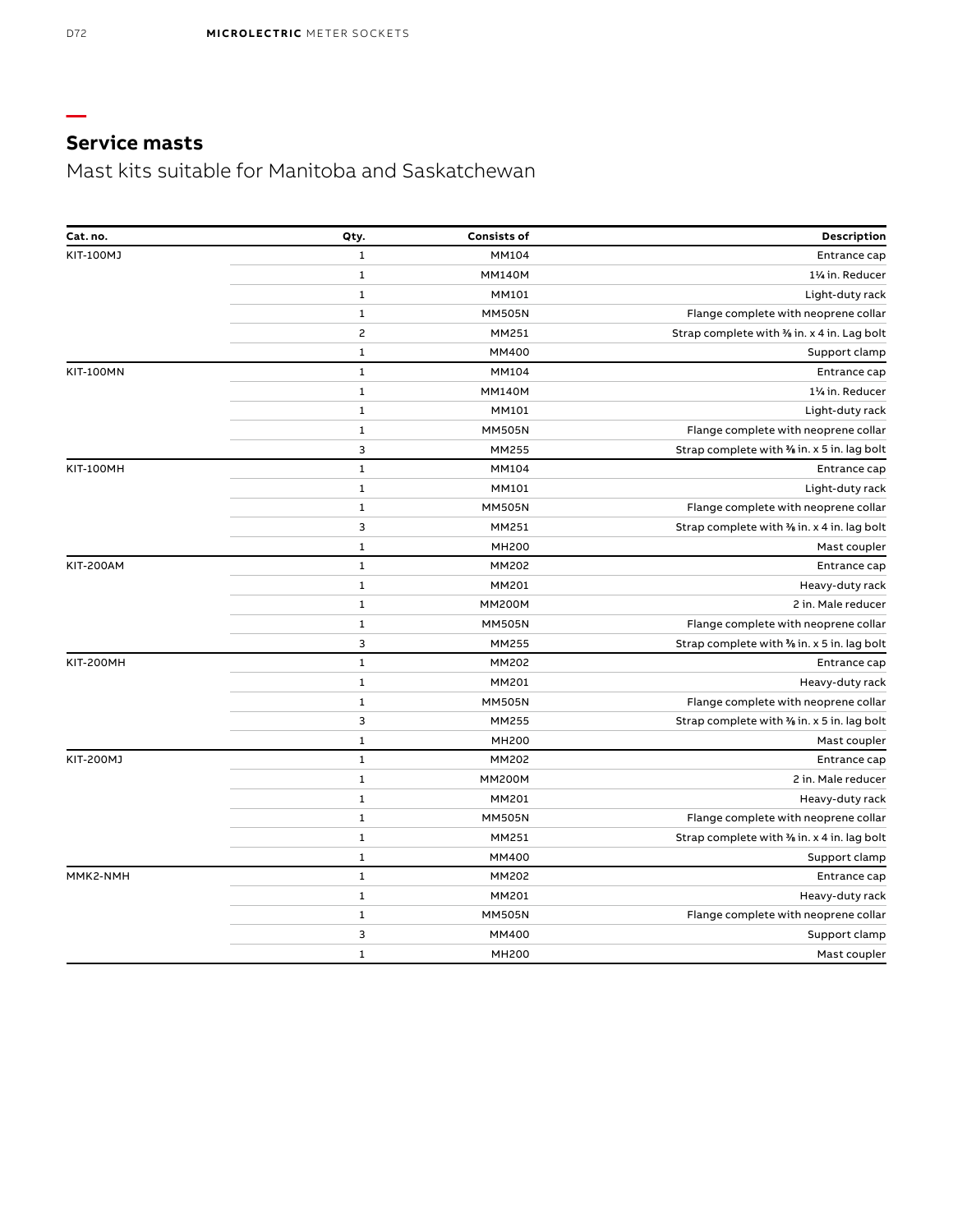Mast kits suitable for Manitoba and Saskatchewan

| Cat.no.          | Qty.           | <b>Consists of</b> | Description                                 |
|------------------|----------------|--------------------|---------------------------------------------|
| KIT-100MJ        | $\mathbf{1}$   | MM104              | Entrance cap                                |
|                  | $\mathbf{1}$   | <b>MM140M</b>      | 11/ <sub>4</sub> in. Reducer                |
|                  | $\mathbf{1}$   | MM101              | Light-duty rack                             |
|                  | 1              | <b>MM505N</b>      | Flange complete with neoprene collar        |
|                  | $\overline{c}$ | MM251              | Strap complete with % in. x 4 in. Lag bolt  |
|                  | 1              | MM400              | Support clamp                               |
| <b>KIT-100MN</b> | $\mathbf{1}$   | MM104              | Entrance cap                                |
|                  | $\mathbf 1$    | <b>MM140M</b>      | 11/ <sub>4</sub> in. Reducer                |
|                  | $\mathbf{1}$   | MM101              | Light-duty rack                             |
|                  | $\mathbf{1}$   | <b>MM505N</b>      | Flange complete with neoprene collar        |
|                  | 3              | MM255              | Strap complete with % in. x 5 in. lag bolt  |
| <b>KIT-100MH</b> | $\mathbf{1}$   | MM104              | Entrance cap                                |
|                  | 1              | MM101              | Light-duty rack                             |
|                  | $\mathbf{1}$   | <b>MM505N</b>      | Flange complete with neoprene collar        |
|                  | 3              | MM251              | Strap complete with % in. x 4 in. lag bolt  |
|                  | $\mathbf{1}$   | <b>MH200</b>       | Mast coupler                                |
| <b>KIT-200AM</b> | $\mathbf{1}$   | MM202              | Entrance cap                                |
|                  | $\mathbf{1}$   | MM201              | Heavy-duty rack                             |
|                  | $\mathbf{1}$   | <b>MM200M</b>      | 2 in. Male reducer                          |
|                  | $\mathbf{1}$   | <b>MM505N</b>      | Flange complete with neoprene collar        |
|                  | 3              | MM255              | Strap complete with 3% in. x 5 in. lag bolt |
| <b>KIT-200MH</b> | $\mathbf{1}$   | MM202              | Entrance cap                                |
|                  | 1              | MM201              | Heavy-duty rack                             |
|                  | $\mathbf{1}$   | <b>MM505N</b>      | Flange complete with neoprene collar        |
|                  | 3              | MM255              | Strap complete with 3% in. x 5 in. lag bolt |
|                  | $\mathbf{1}$   | <b>MH200</b>       | Mast coupler                                |
| KIT-200MJ        | $\mathbf 1$    | MM202              | Entrance cap                                |
|                  | $\mathbf{1}$   | <b>MM200M</b>      | 2 in. Male reducer                          |
|                  | 1              | MM201              | Heavy-duty rack                             |
|                  | 1              | <b>MM505N</b>      | Flange complete with neoprene collar        |
|                  | 1              | MM251              | Strap complete with % in. x 4 in. lag bolt  |
|                  | 1              | MM400              | Support clamp                               |
| MMK2-NMH         | $\mathbf{1}$   | MM202              | Entrance cap                                |
|                  | $\mathbf{1}$   | MM201              | Heavy-duty rack                             |
|                  | $\mathbf{1}$   | <b>MM505N</b>      | Flange complete with neoprene collar        |
|                  | 3              | MM400              | Support clamp                               |
|                  | 1              | <b>MH200</b>       | Mast coupler                                |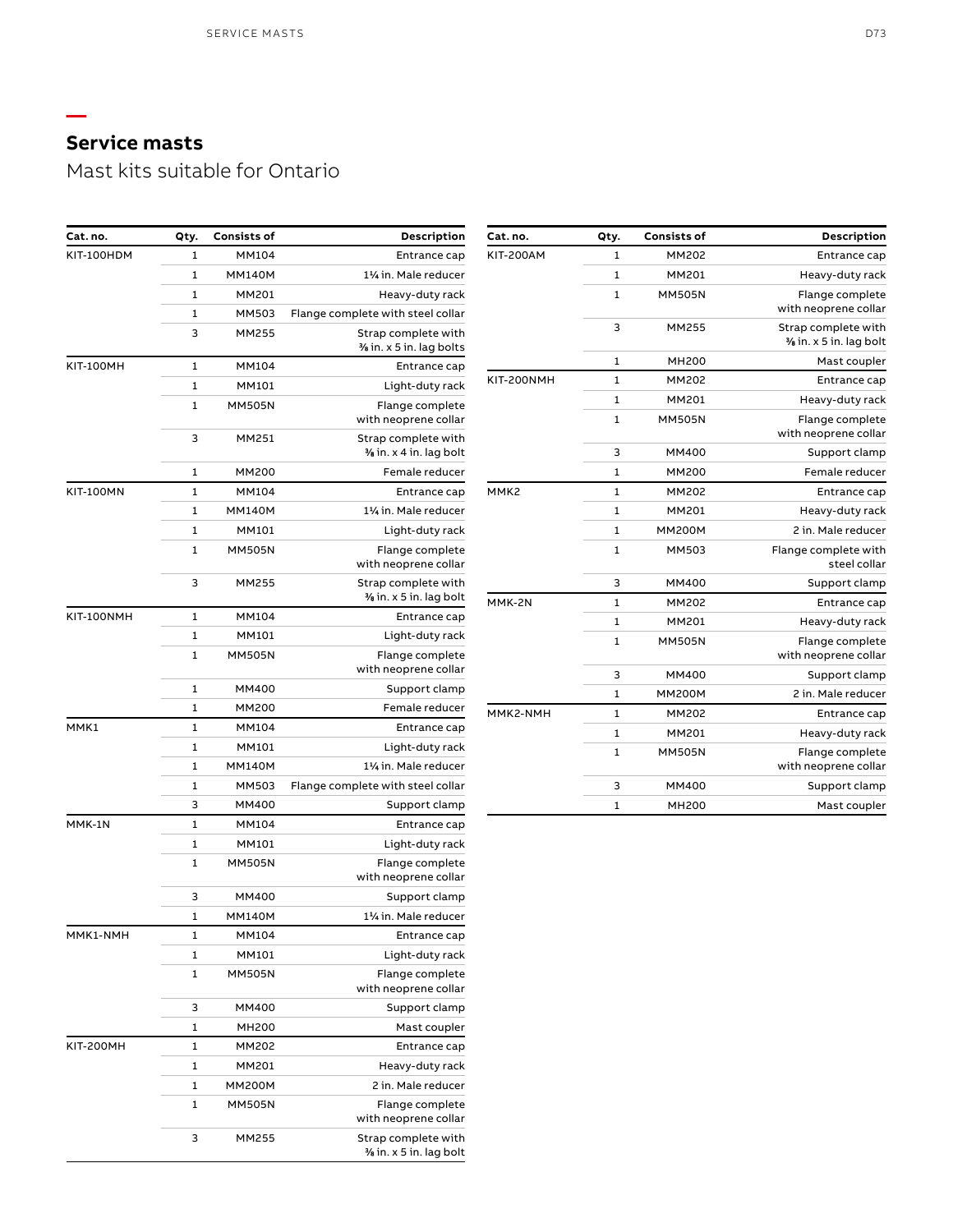**—**

Mast kits suitable for Ontario

| Cat.no.          | Qty.         | <b>Consists of</b> | Description                                   |
|------------------|--------------|--------------------|-----------------------------------------------|
| <b>KIT-200AM</b> | 1            | MM202              | Entrance cap                                  |
|                  | $\mathbf{1}$ | MM201              | Heavy-duty rack                               |
|                  | 1            | <b>MM505N</b>      | Flange complete<br>with neoprene collar       |
|                  | 3            | MM255              | Strap complete with<br>% in. x 5 in. lag bolt |
|                  | 1            | <b>MH200</b>       | Mast coupler                                  |
| KIT-200NMH       | 1            | MM202              | Entrance cap                                  |
|                  | 1            | MM201              | Heavy-duty rack                               |
|                  | $\mathbf{1}$ | <b>MM505N</b>      | Flange complete<br>with neoprene collar       |
|                  | 3            | MM400              | Support clamp                                 |
|                  | 1            | MM200              | Female reducer                                |
| MMK2             | 1            | MM202              | Entrance cap                                  |
|                  | 1            | MM201              | Heavy-duty rack                               |
|                  | 1            | <b>MM200M</b>      | 2 in. Male reducer                            |
|                  | $\mathbf{1}$ | MM503              | Flange complete with<br>steel collar          |
|                  | 3            | MM400              | Support clamp                                 |
| MMK-2N           | $\mathbf{1}$ | MM202              | Entrance cap                                  |
|                  | 1            | MM201              | Heavy-duty rack                               |
|                  | 1            | <b>MM505N</b>      | Flange complete<br>with neoprene collar       |
|                  | 3            | MM400              | Support clamp                                 |
|                  | 1            | <b>MM200M</b>      | 2 in. Male reducer                            |
| MMK2-NMH         | 1            | MM202              | Entrance cap                                  |
|                  | 1            | MM201              | Heavy-duty rack                               |
|                  | 1            | <b>MM505N</b>      | Flange complete<br>with neoprene collar       |
|                  | 3            | MM400              | Support clamp                                 |
|                  | $\mathbf{1}$ | MH200              | Mast coupler                                  |

| Cat. no.         | Qty. | Consists of   | Description                                   |
|------------------|------|---------------|-----------------------------------------------|
| KIT-100HDM       | 1    | MM104         | Entrance cap                                  |
|                  | 1    | <b>MM140M</b> | 11/ <sub>1</sub> in. Male reducer             |
|                  | 1    | MM201         | Heavy-duty rack                               |
|                  | 1    | MM503         | Flange complete with steel collar             |
|                  | 3    | MM255         | Strap complete with                           |
|                  |      |               | % in. x 5 in. lag bolts                       |
| <b>KIT-100MH</b> | 1    | MM104         | Entrance cap                                  |
|                  | 1    | MM101         | Light-duty rack                               |
|                  | 1    | MM505N        | Flange complete<br>with neoprene collar       |
|                  | 3    | MM251         | Strap complete with<br>% in. x 4 in. lag bolt |
|                  | 1    | MM200         | Female reducer                                |
| <b>KIT-100MN</b> | 1    | MM104         | Entrance cap                                  |
|                  | 1    | <b>MM140M</b> | 11⁄4 in. Male reducer                         |
|                  | 1    | MM101         | Light-duty rack                               |
|                  | 1    | MM505N        | Flange complete<br>with neoprene collar       |
|                  | 3    | MM255         | Strap complete with<br>% in. x 5 in. lag bolt |
| KIT-100NMH       | 1    | MM104         | Entrance cap                                  |
|                  | 1    | MM101         | Light-duty rack                               |
|                  | 1    | MM505N        | Flange complete<br>with neoprene collar       |
|                  | 1    | MM400         | Support clamp                                 |
|                  | 1    | MM200         | Female reducer                                |
| MMK1             | 1    | MM104         | Entrance cap                                  |
|                  | 1    | MM101         | Light-duty rack                               |
|                  | 1    | <b>MM140M</b> | 11⁄4 in. Male reducer                         |
|                  | 1    | MM503         | Flange complete with steel collar             |
|                  | 3    | MM400         | Support clamp                                 |
| MMK-1N           | 1    | MM104         | Entrance cap                                  |
|                  | 1    | MM101         | Light-duty rack                               |
|                  | 1    | MM505N        | Flange complete<br>with neoprene collar       |
|                  | 3    | MM400         | Support clamp                                 |
|                  | 1    | MM140M        | 1½ in. Male reducer                           |
| MMK1-NMH         | 1    | MM104         | Entrance cap                                  |
|                  | 1    | MM101         | Light-duty rack                               |
|                  | 1    | <b>MM505N</b> | Flange complete<br>with neoprene collar       |
|                  | 3    | MM400         | Support clamp                                 |
|                  | 1    | MH200         | Mast coupler                                  |
| <b>KIT-200MH</b> | 1    | MM202         | Entrance cap                                  |
|                  | 1    | MM201         | Heavy-duty rack                               |
|                  | 1    | MM200M        | 2 in. Male reducer                            |
|                  | 1    | <b>MM505N</b> | Flange complete<br>with neoprene collar       |
|                  | 3    | MM255         | Strap complete with<br>% in. x 5 in. lag bolt |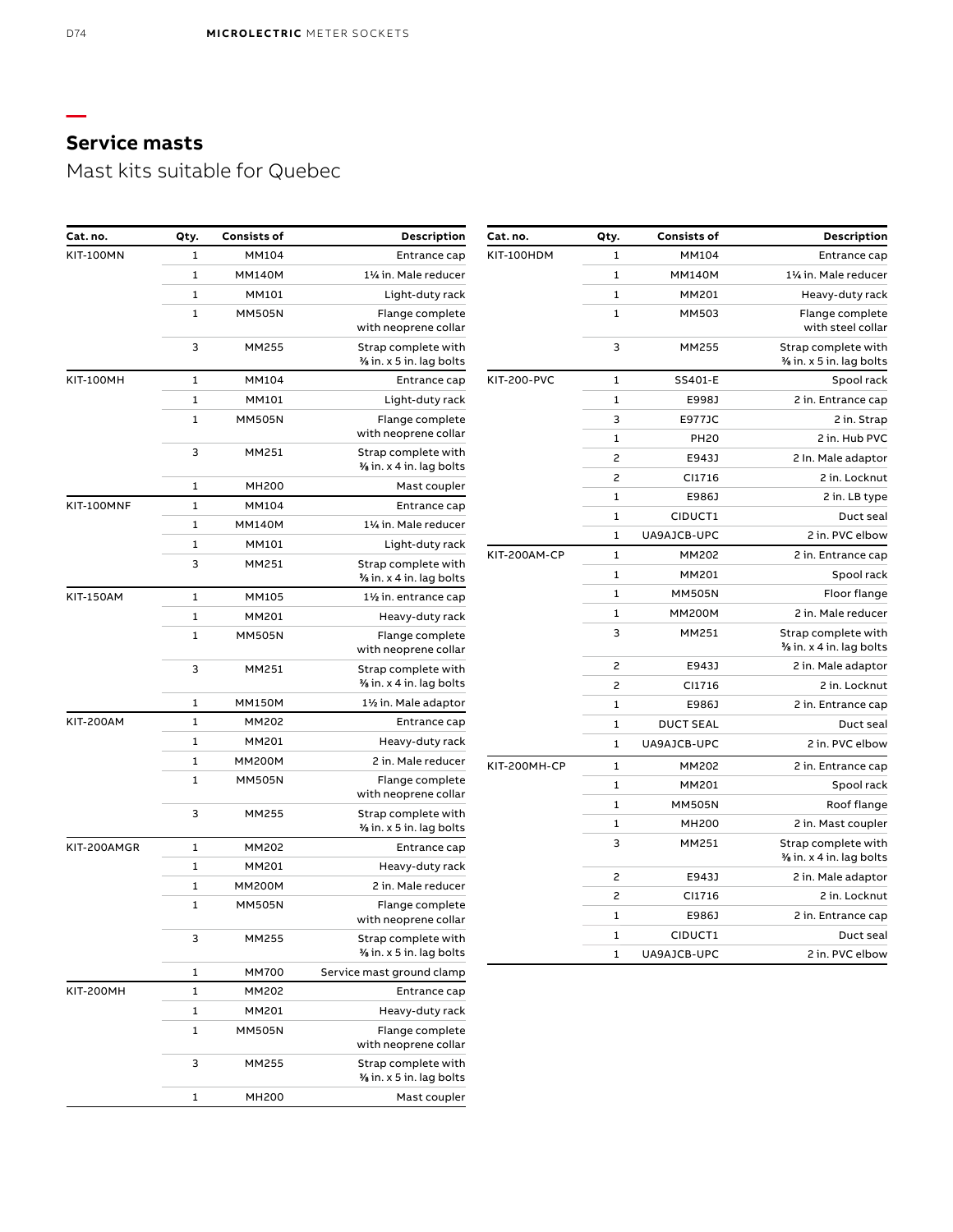Mast kits suitable for Quebec

| Cat. no.           | Qty.           | <b>Consists of</b> | Description                                    |
|--------------------|----------------|--------------------|------------------------------------------------|
| KIT-100HDM         | 1              | MM104              | Entrance cap                                   |
|                    | 1              | <b>MM140M</b>      | 11/4 in. Male reducer                          |
|                    | 1              | MM201              | Heavy-duty rack                                |
|                    | $\mathbf{1}$   | MM503              | Flange complete<br>with steel collar           |
|                    | 3              | MM255              | Strap complete with<br>% in. x 5 in. lag bolts |
| <b>KIT-200-PVC</b> | $\mathbf{1}$   | SS401-E            | Spool rack                                     |
|                    | 1              | E998J              | 2 in. Entrance cap                             |
|                    | 3              | E977JC             | 2 in. Strap                                    |
|                    | 1              | <b>PH20</b>        | 2 in. Hub PVC                                  |
|                    | $\overline{c}$ | E943J              | 2 In. Male adaptor                             |
|                    | 2              | CI1716             | 2 in. Locknut                                  |
|                    | 1              | E986J              | 2 in. LB type                                  |
|                    | 1              | CIDUCT1            | Duct seal                                      |
|                    | 1              | UA9AJCB-UPC        | 2 in. PVC elbow                                |
| KIT-200AM-CP       | $\mathbf{1}$   | MM202              | 2 in. Entrance cap                             |
|                    | 1              | MM201              | Spool rack                                     |
|                    | 1              | <b>MM505N</b>      | Floor flange                                   |
|                    | $\mathbf{1}$   | <b>MM200M</b>      | 2 in. Male reducer                             |
|                    | 3              | MM251              | Strap complete with<br>% in. x 4 in. lag bolts |
|                    | $\overline{c}$ | E943J              | 2 in. Male adaptor                             |
|                    | $\overline{c}$ | CI1716             | 2 in. Locknut                                  |
|                    | 1              | E986J              | 2 in. Entrance cap                             |
|                    | 1              | <b>DUCT SEAL</b>   | Duct seal                                      |
|                    | 1              | UA9AJCB-UPC        | 2 in. PVC elbow                                |
| KIT-200MH-CP       | 1              | MM202              | 2 in. Entrance cap                             |
|                    | 1              | MM201              | Spool rack                                     |
|                    | 1              | <b>MM505N</b>      | Roof flange                                    |
|                    | 1              | <b>MH200</b>       | 2 in. Mast coupler                             |
|                    | 3              | MM251              | Strap complete with<br>% in. x 4 in. lag bolts |
|                    | 2              | E943J              | 2 in. Male adaptor                             |
|                    | 2              | CI1716             | 2 in. Locknut                                  |
|                    | 1              | E986J              | 2 in. Entrance cap                             |
|                    | 1              | CIDUCT1            | Duct seal                                      |
|                    |                |                    |                                                |

| Cat. no.         | Qty. | <b>Consists of</b> | Description                                    |
|------------------|------|--------------------|------------------------------------------------|
| <b>KIT-100MN</b> | 1    | MM104              | Entrance cap                                   |
|                  | 1    | <b>MM140M</b>      | 11/4 in. Male reducer                          |
|                  | 1    | MM101              | Light-duty rack                                |
|                  | 1    | <b>MM505N</b>      | Flange complete<br>with neoprene collar        |
|                  | 3    | MM255              | Strap complete with<br>% in. x 5 in. lag bolts |
| <b>KIT-100MH</b> | 1    | MM104              | Entrance cap                                   |
|                  | 1    | MM101              | Light-duty rack                                |
|                  | 1    | <b>MM505N</b>      | Flange complete<br>with neoprene collar        |
|                  | 3    | MM251              | Strap complete with<br>% in. x 4 in. lag bolts |
|                  | 1    | <b>MH200</b>       | Mast coupler                                   |
| KIT-100MNF       | 1    | MM104              | Entrance cap                                   |
|                  | 1    | <b>MM140M</b>      | 11/4 in. Male reducer                          |
|                  | 1    | MM101              | Light-duty rack                                |
|                  | 3    | MM251              | Strap complete with<br>% in. x 4 in. lag bolts |
| <b>KIT-150AM</b> | 1    | MM105              | 11/2 in. entrance cap                          |
|                  | 1    | MM201              | Heavy-duty rack                                |
|                  | 1    | <b>MM505N</b>      | Flange complete<br>with neoprene collar        |
|                  | 3    | MM251              | Strap complete with<br>% in. x 4 in. lag bolts |
|                  | 1    | <b>MM150M</b>      | 1½ in. Male adaptor                            |
| <b>KIT-200AM</b> | 1    | MM202              | Entrance cap                                   |
|                  | 1    | MM201              | Heavy-duty rack                                |
|                  | 1    | <b>MM200M</b>      | 2 in. Male reducer                             |
|                  | 1    | <b>MM505N</b>      | Flange complete<br>with neoprene collar        |
|                  | 3    | MM255              | Strap complete with<br>% in. x 5 in. lag bolts |
| KIT-200AMGR      | 1    | MM202              | Entrance cap                                   |
|                  | 1    | MM201              | Heavy-duty rack                                |
|                  | 1    | <b>MM200M</b>      | 2 in. Male reducer                             |
|                  | 1    | <b>MM505N</b>      | Flange complete<br>with neoprene collar        |
|                  | 3    | MM255              | Strap complete with<br>% in. x 5 in. lag bolts |
|                  | 1    | MM700              | Service mast ground clamp                      |
| <b>KIT-200MH</b> | 1    | MM202              | Entrance cap                                   |
|                  | 1    | MM201              | Heavy-duty rack                                |
|                  | 1    | <b>MM505N</b>      | Flange complete<br>with neoprene collar        |
|                  | 3    | MM255              | Strap complete with<br>% in. x 5 in. lag bolts |
|                  | 1    | MH200              | Mast coupler                                   |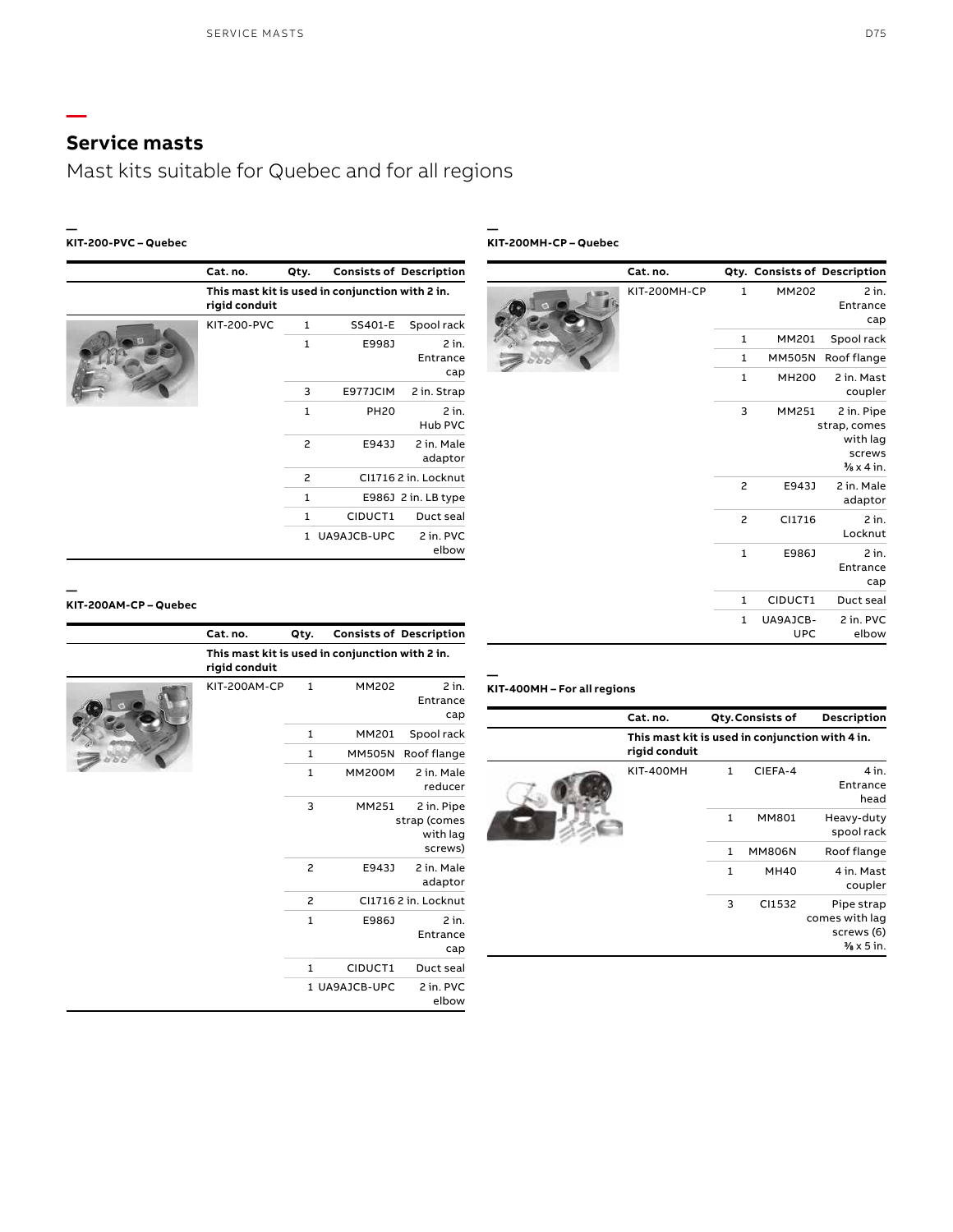**—**

Mast kits suitable for Quebec and for all regions

### **— KIT-200-PVC – Quebec**

|  | Cat. no.                                                         | Qty.         |             | <b>Consists of Description</b> |
|--|------------------------------------------------------------------|--------------|-------------|--------------------------------|
|  | This mast kit is used in conjunction with 2 in.<br>rigid conduit |              |             |                                |
|  | <b>KIT-200-PVC</b>                                               | 1            | SS401-E     | Spool rack                     |
|  |                                                                  | $\mathbf{1}$ | E998J       | 2 in.<br>Entrance<br>cap       |
|  |                                                                  | 3            | E977JCIM    | 2 in. Strap                    |
|  |                                                                  | $\mathbf{1}$ | <b>PH20</b> | $2$ in.<br>Hub PVC             |
|  |                                                                  | 2            | E943J       | 2 in. Male<br>adaptor          |
|  |                                                                  | 2            |             | CI17162 in. Locknut            |
|  |                                                                  | 1            |             | E986J 2 in. LB type            |
|  |                                                                  | $\mathbf{1}$ | CIDUCT1     | Duct seal                      |
|  |                                                                  | 1            | UA9AJCB-UPC | 2 in. PVC<br>elbow             |

**— KIT-200MH-CP – Quebec**

|  | Cat.no.                          |                |                        | Qty. Consists of Description                                              |
|--|----------------------------------|----------------|------------------------|---------------------------------------------------------------------------|
|  | KIT-200MH-CP<br>1<br>1<br>1<br>1 |                | MM202                  | $2$ in.<br>Entrance<br>cap                                                |
|  |                                  |                | MM201                  | Spool rack                                                                |
|  |                                  |                | <b>MM505N</b>          | Roof flange                                                               |
|  |                                  | <b>MH200</b>   | 2 in. Mast<br>coupler  |                                                                           |
|  |                                  | 3              | MM251                  | 2 in. Pipe<br>strap, comes<br>with lag<br>screws<br>$\frac{1}{2}$ x 4 in. |
|  |                                  | 2              | E943J                  | 2 in. Male<br>adaptor                                                     |
|  |                                  | $\overline{c}$ | CI1716                 | $2$ in.<br>Locknut                                                        |
|  |                                  | $\mathbf 1$    | E986J                  | $2$ in.<br>Entrance<br>cap                                                |
|  |                                  | 1              | CIDUCT1                | Duct seal                                                                 |
|  |                                  | $\mathbf{1}$   | UA9AJCB-<br><b>UPC</b> | 2 in. PVC<br>elbow                                                        |

### **KIT-200AM-CP – Quebec**

**—**

|  | Cat. no.                                                         | Qty.           |               | <b>Consists of Description</b>                    |
|--|------------------------------------------------------------------|----------------|---------------|---------------------------------------------------|
|  | This mast kit is used in conjunction with 2 in.<br>rigid conduit |                |               |                                                   |
|  | KIT-200AM-CP                                                     | $\mathbf{1}$   | <b>MM202</b>  | $2$ in.<br>Entrance<br>cap                        |
|  |                                                                  | $\mathbf{1}$   | MM201         | Spool rack                                        |
|  |                                                                  | 1              | <b>MM505N</b> | Roof flange                                       |
|  |                                                                  | $\mathbf{1}$   | <b>MM200M</b> | 2 in. Male<br>reducer                             |
|  |                                                                  | 3              | MM251         | 2 in. Pipe<br>strap (comes<br>with lag<br>screws) |
|  |                                                                  | $\overline{c}$ | E943J         | 2 in. Male<br>adaptor                             |
|  |                                                                  | 2              |               | CI1716 2 in. Locknut                              |
|  |                                                                  | 1              | E986J         | $2$ in.<br>Entrance<br>cap                        |
|  |                                                                  | 1              | CIDUCT1       | Duct seal                                         |
|  |                                                                  |                | 1 UA9AJCB-UPC | 2 in. PVC<br>elbow                                |

### **KIT-400MH – For all regions**

| Cat. no.                                                         |              | Qty.Consists of | Description                                                         |
|------------------------------------------------------------------|--------------|-----------------|---------------------------------------------------------------------|
| This mast kit is used in conjunction with 4 in.<br>rigid conduit |              |                 |                                                                     |
| <b>KIT-400MH</b>                                                 | 1            | CIEFA-4         | $4$ in.<br>Entrance<br>head                                         |
|                                                                  | $\mathbf{1}$ | MM801           | Heavy-duty<br>spool rack                                            |
|                                                                  | 1            | <b>MM806N</b>   | Roof flange                                                         |
|                                                                  | $\mathbf{1}$ | <b>MH40</b>     | 4 in. Mast<br>coupler                                               |
|                                                                  | 3            | CI1532          | Pipe strap<br>comes with lag<br>screws (6)<br>$\frac{3}{8}$ x 5 in. |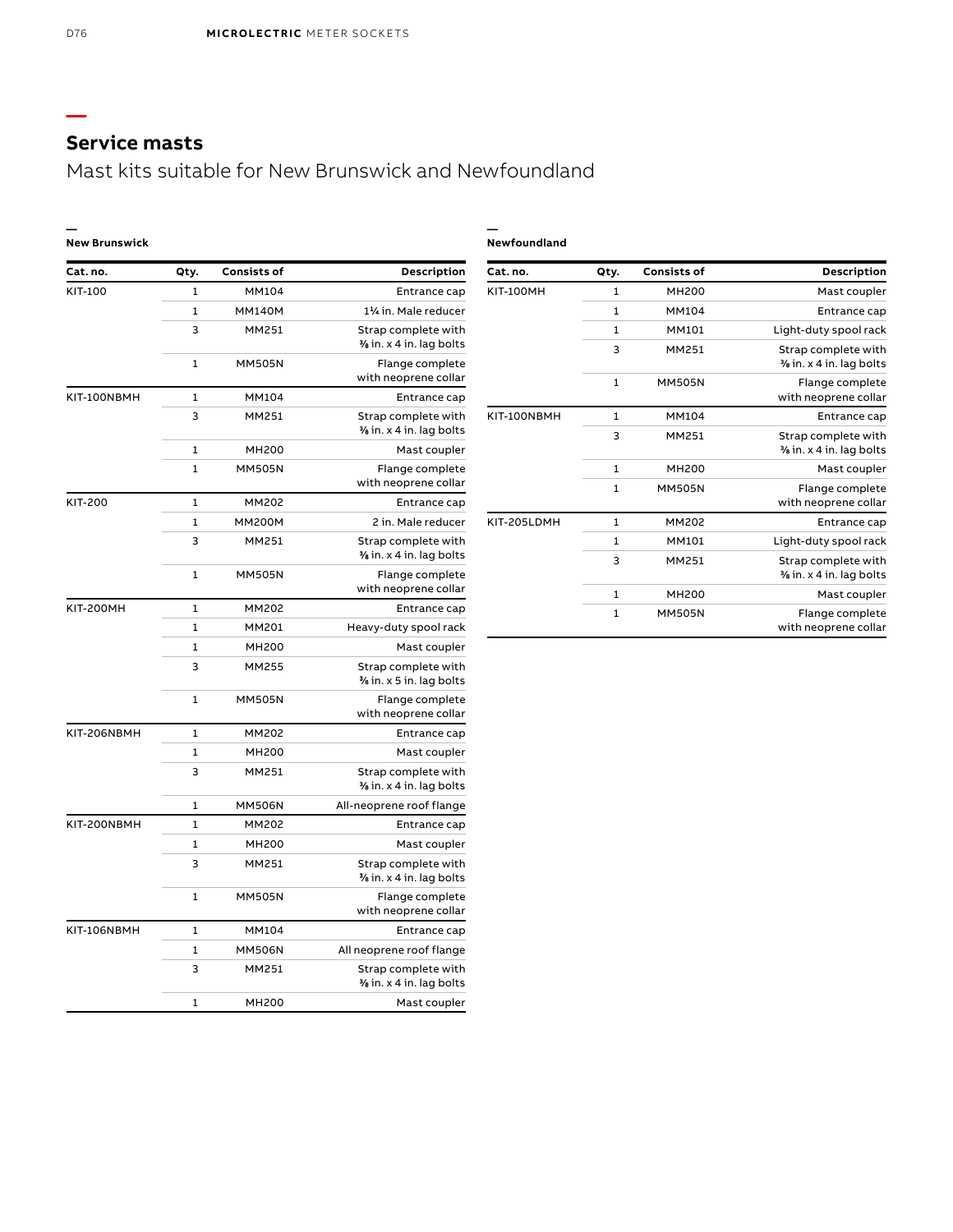# Mast kits suitable for New Brunswick and Newfoundland

**—**

### **— New Brunswick**

| Cat. no.         | Qty.         | <b>Consists of</b> | Description                                    |
|------------------|--------------|--------------------|------------------------------------------------|
| <b>KIT-100MH</b> | 1            | <b>MH200</b>       | Mast coupler                                   |
|                  | 1            | MM104              | Entrance cap                                   |
|                  | $\mathbf{1}$ | MM101              | Light-duty spool rack                          |
|                  | 3            | MM251              | Strap complete with<br>% in. x 4 in. lag bolts |
|                  | $\mathbf{1}$ | <b>MM505N</b>      | Flange complete<br>with neoprene collar        |
| KIT-100NBMH      | 1            | <b>MM104</b>       | Entrance cap                                   |
|                  | 3            | MM251              | Strap complete with<br>% in. x 4 in. lag bolts |
|                  | 1            | <b>MH200</b>       | Mast coupler                                   |
|                  | $\mathbf{1}$ | <b>MM505N</b>      | Flange complete<br>with neoprene collar        |
| KIT-205LDMH      | 1            | MM202              | Entrance cap                                   |
|                  | $\mathbf{1}$ | MM101              | Light-duty spool rack                          |
|                  | 3            | MM251              | Strap complete with<br>% in. x 4 in. lag bolts |
|                  | 1            | <b>MH200</b>       | Mast coupler                                   |
|                  | $\mathbf{1}$ | <b>MM505N</b>      | Flange complete<br>with neoprene collar        |

| Cat. no.         | Qty.         | <b>Consists of</b>            | Description                                    |
|------------------|--------------|-------------------------------|------------------------------------------------|
| KIT-100          | 1            | <b>MM104</b>                  | Entrance cap                                   |
|                  | 1            | <b>MM140M</b>                 | 11/4 in. Male reducer                          |
|                  | 3            | MM251                         | Strap complete with                            |
|                  |              |                               | % in. x 4 in. lag bolts                        |
|                  | 1            | <b>MM505N</b>                 | Flange complete                                |
|                  |              |                               | with neoprene collar                           |
| KIT-100NBMH      | 1            | <b>MM104</b>                  | Entrance cap                                   |
|                  | 3            | MM251                         | Strap complete with<br>% in. x 4 in. lag bolts |
|                  | 1            |                               |                                                |
|                  | $\mathbf{1}$ | <b>MH200</b><br><b>MM505N</b> | Mast coupler                                   |
|                  |              |                               | Flange complete<br>with neoprene collar        |
| <b>KIT-200</b>   | 1            | MM202                         | Entrance cap                                   |
|                  | 1            | <b>MM200M</b>                 | 2 in. Male reducer                             |
|                  | 3            | MM251                         | Strap complete with                            |
|                  |              |                               | % in. x 4 in. lag bolts                        |
|                  | 1            | <b>MM505N</b>                 | Flange complete                                |
|                  |              |                               | with neoprene collar                           |
| <b>KIT-200MH</b> | 1            | MM202                         | Entrance cap                                   |
|                  | 1            | MM201                         | Heavy-duty spool rack                          |
|                  | $\mathbf{1}$ | <b>MH200</b>                  | Mast coupler                                   |
|                  | 3            | MM255                         | Strap complete with                            |
|                  |              |                               | % in. x 5 in. lag bolts                        |
|                  | 1            | <b>MM505N</b>                 | Flange complete<br>with neoprene collar        |
| KIT-206NBMH      | 1            | <b>MM202</b>                  | Entrance cap                                   |
|                  | $\mathbf{1}$ | <b>MH200</b>                  | Mast coupler                                   |
|                  | 3            | MM251                         | Strap complete with                            |
|                  |              |                               | $\frac{3}{6}$ in. x 4 in. lag bolts            |
|                  | 1            | <b>MM506N</b>                 | All-neoprene roof flange                       |
| KIT-200NBMH      | $\mathbf{1}$ | MM202                         | Entrance cap                                   |
|                  | $\mathbf{1}$ | <b>MH200</b>                  | Mast coupler                                   |
|                  | 3            | MM251                         | Strap complete with                            |
|                  |              |                               | $\frac{3}{6}$ in. x 4 in. lag bolts            |
|                  | 1            | <b>MM505N</b>                 | Flange complete                                |
|                  |              |                               | with neoprene collar                           |
| KIT-106NBMH      | $\mathbf{1}$ | MM104                         | Entrance cap                                   |
|                  | 1            | <b>MM506N</b>                 | All neoprene roof flange                       |
|                  | 3            | MM251                         | Strap complete with                            |
|                  |              | <b>MH200</b>                  | $\frac{3}{2}$ in. x 4 in. lag bolts            |
|                  | 1            |                               | Mast coupler                                   |